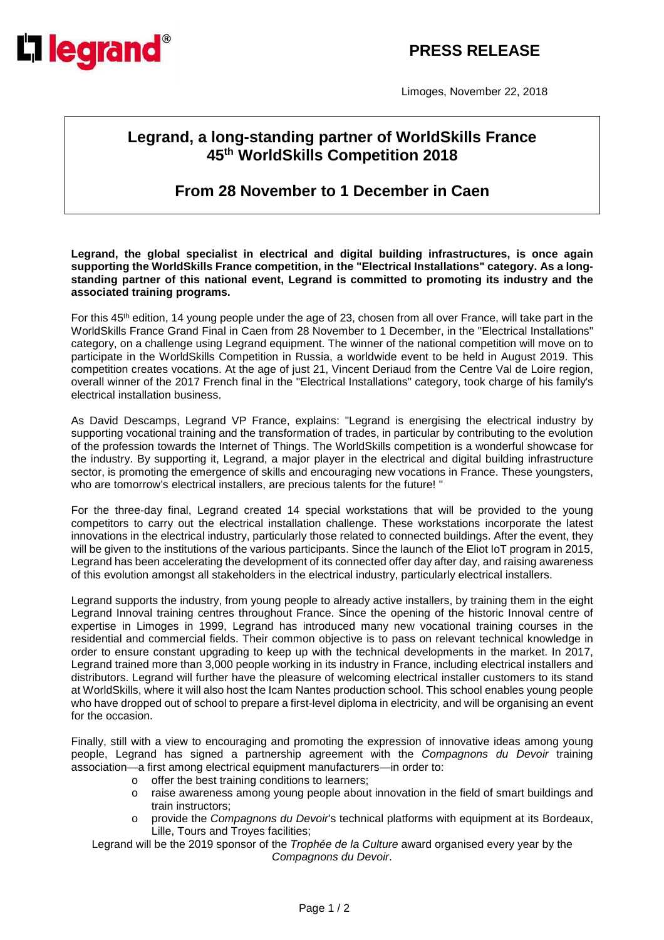## **PRESS RELEASE**



Limoges, November 22, 2018

## **Legrand, a long-standing partner of WorldSkills France 45th WorldSkills Competition 2018**

**From 28 November to 1 December in Caen** 

**Legrand, the global specialist in electrical and digital building infrastructures, is once again supporting the WorldSkills France competition, in the "Electrical Installations" category. As a longstanding partner of this national event, Legrand is committed to promoting its industry and the associated training programs.**

For this 45<sup>th</sup> edition, 14 young people under the age of 23, chosen from all over France, will take part in the WorldSkills France Grand Final in Caen from 28 November to 1 December, in the "Electrical Installations" category, on a challenge using Legrand equipment. The winner of the national competition will move on to participate in the WorldSkills Competition in Russia, a worldwide event to be held in August 2019. This competition creates vocations. At the age of just 21, Vincent Deriaud from the Centre Val de Loire region, overall winner of the 2017 French final in the "Electrical Installations" category, took charge of his family's electrical installation business.

As David Descamps, Legrand VP France, explains: "Legrand is energising the electrical industry by supporting vocational training and the transformation of trades, in particular by contributing to the evolution of the profession towards the Internet of Things. The WorldSkills competition is a wonderful showcase for the industry. By supporting it, Legrand, a major player in the electrical and digital building infrastructure sector, is promoting the emergence of skills and encouraging new vocations in France. These youngsters, who are tomorrow's electrical installers, are precious talents for the future! "

For the three-day final, Legrand created 14 special workstations that will be provided to the young competitors to carry out the electrical installation challenge. These workstations incorporate the latest innovations in the electrical industry, particularly those related to connected buildings. After the event, they will be given to the institutions of the various participants. Since the launch of the Eliot IoT program in 2015, Legrand has been accelerating the development of its connected offer day after day, and raising awareness of this evolution amongst all stakeholders in the electrical industry, particularly electrical installers.

Legrand supports the industry, from young people to already active installers, by training them in the eight Legrand Innoval training centres throughout France. Since the opening of the historic Innoval centre of expertise in Limoges in 1999, Legrand has introduced many new vocational training courses in the residential and commercial fields. Their common objective is to pass on relevant technical knowledge in order to ensure constant upgrading to keep up with the technical developments in the market. In 2017, Legrand trained more than 3,000 people working in its industry in France, including electrical installers and distributors. Legrand will further have the pleasure of welcoming electrical installer customers to its stand at WorldSkills, where it will also host the Icam Nantes production school. This school enables young people who have dropped out of school to prepare a first-level diploma in electricity, and will be organising an event for the occasion.

Finally, still with a view to encouraging and promoting the expression of innovative ideas among young people, Legrand has signed a partnership agreement with the Compagnons du Devoir training association—a first among electrical equipment manufacturers—in order to:

- o offer the best training conditions to learners;
- o raise awareness among young people about innovation in the field of smart buildings and train instructors;
- provide the Compagnons du Devoir's technical platforms with equipment at its Bordeaux, Lille, Tours and Troyes facilities;

Legrand will be the 2019 sponsor of the Trophée de la Culture award organised every year by the Compagnons du Devoir.